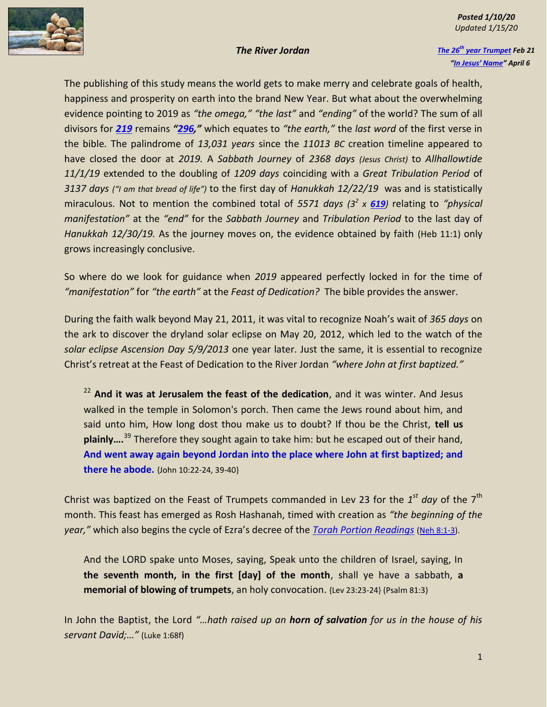## *Posted 1/10/20 Updated 1/15/20*

*The 26th [year Trumpet](https://wisdom666.com/26-years-from-trumpets-94.pdf) Feb 21 "In [Jesus' Name"](https://wisdom666.com/in%20jesus%20name.pdf) April 6*

The publishing of this study means the world gets to make merry and celebrate goals of health, happiness and prosperity on earth into the brand New Year. But what about the overwhelming evidence pointing to 2019 as *"the omega," "the last"* and *"ending"* of the world? The sum of all divisors for *[219](https://www.numberempire.com/219)* remains *"[296](https://www.biblewheel.com/GR/GR_296.php),"* which equates to *"the earth,"* the *last word* of the first verse in the bible*.* The palindrome of *13,031 years* since the *11013 BC* creation timeline appeared to have closed the door at *2019.* A *Sabbath Journey* of *2368 days (Jesus Christ)* to *Allhallowtide 11/1/19* extended to the doubling of *1209 days* coinciding with a *Great Tribulation Period* of *3137 days ("I am that bread of life")* to the first day of *Hanukkah 12/22/19* was and is statistically miraculous. Not to mention the combined total of *5571 days (3<sup>2</sup> x [619](https://www.biblewheel.com/GR/GR_619.php))* relating to *"physical manifestation"* at the *"end"* for the *Sabbath Journey* and *Tribulation Period* to the last day of *Hanukkah 12/30/19.* As the journey moves on, the evidence obtained by faith (Heb 11:1) only grows increasingly conclusive.

So where do we look for guidance when *2019* appeared perfectly locked in for the time of *"manifestation"* for *"the earth"* at the *Feast of Dedication?* The bible provides the answer.

During the faith walk beyond May 21, 2011, it was vital to recognize Noah's wait of *365 days* on the ark to discover the dryland solar eclipse on May 20, 2012, which led to the watch of the *solar eclipse Ascension Day 5/9/2013* one year later. Just the same, it is essential to recognize Christ's retreat at the Feast of Dedication to the River Jordan *"where John at first baptized."*

<sup>22</sup> **And it was at Jerusalem the feast of the dedication**, and it was winter. And Jesus walked in the temple in Solomon's porch. Then came the Jews round about him, and said unto him, How long dost thou make us to doubt? If thou be the Christ, **tell us plainly….**<sup>39</sup> Therefore they sought again to take him: but he escaped out of their hand, **And went away again beyond Jordan into the place where John at first baptized; and there he abode.** {John 10:22-24, 39-40}

Christ was baptized on the Feast of Trumpets commanded in Lev 23 for the 1<sup>st</sup> day of the 7<sup>th</sup> month. This feast has emerged as Rosh Hashanah, timed with creation as *"the beginning of the year,"* which also begins the cycle of Ezra's decree of the *[Torah Portion Readings](https://en.wikipedia.org/wiki/Weekly_Torah_portion)* [\(Neh 8:1-3\)](https://www.blueletterbible.org/tools/MultiVerse.cfm?s=008IFU).

And the LORD spake unto Moses, saying, Speak unto the children of Israel, saying, In **the seventh month, in the first [day] of the month**, shall ye have a sabbath, **a memorial of blowing of trumpets**, an holy convocation. {Lev 23:23-24} (Psalm 81:3)

In John the Baptist, the Lord *"…hath raised up an horn of salvation for us in the house of his servant David;…"* (Luke 1:68f)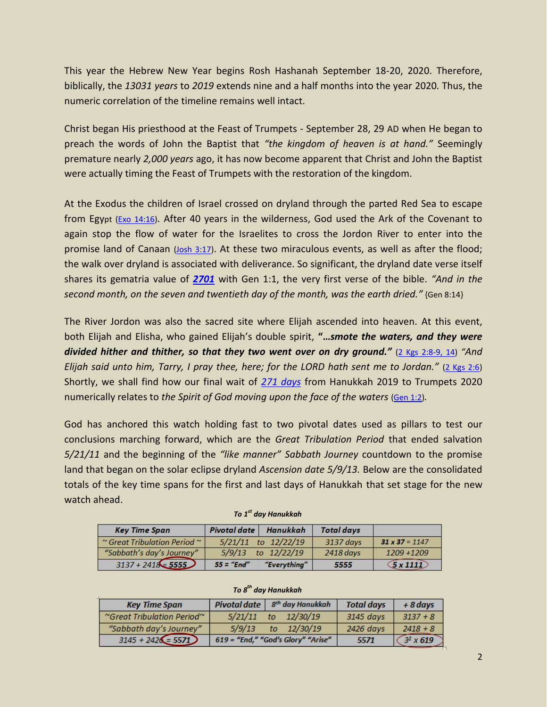This year the Hebrew New Year begins Rosh Hashanah September 18-20, 2020. Therefore, biblically, the *13031 years* to *2019* extends nine and a half months into the year 2020*.* Thus, the numeric correlation of the timeline remains well intact.

Christ began His priesthood at the Feast of Trumpets - September 28, 29 AD when He began to preach the words of John the Baptist that *"the kingdom of heaven is at hand."* Seemingly premature nearly *2,000 years* ago, it has now become apparent that Christ and John the Baptist were actually timing the Feast of Trumpets with the restoration of the kingdom.

At the Exodus the children of Israel crossed on dryland through the parted Red Sea to escape from Egypt ( $Exo$  14:16). After 40 years in the wilderness, God used the Ark of the Covenant to again stop the flow of water for the Israelites to cross the Jordon River to enter into the promise land of Canaan [\(Josh 3:17\)](https://www.blueletterbible.org/tools/MultiVerse.cfm?s=008Ieo). At these two miraculous events, as well as after the flood; the walk over dryland is associated with deliverance. So significant, the dryland date verse itself shares its gematria value of *[2701](https://www.biblewheel.com/GR/GR_Database.php?bnum=1&cnum=8&vnum=14)* with Gen 1:1, the very first verse of the bible. *"And in the second month, on the seven and twentieth day of the month, was the earth dried."* {Gen 8:14}

The River Jordon was also the sacred site where Elijah ascended into heaven. At this event, both Elijah and Elisha, who gained Elijah's double spirit, **"…***smote the waters, and they were divided hither and thither, so that they two went over on dry ground."* [\(2 Kgs 2:8-9, 14\)](https://www.blueletterbible.org/tools/MultiVerse.cfm?s=008Iez) *"And Elijah said unto him, Tarry, I pray thee, here; for the LORD hath sent me to Jordan."* [\(2 Kgs 2:6\)](https://www.blueletterbible.org/tools/MultiVerse.cfm?s=008If1) Shortly, we shall find how our final wait of *[271 days](https://www.timeanddate.com/date/durationresult.html?m1=12&d1=22&y1=2019&m2=09&d2=18&y2=2020)* from Hanukkah 2019 to Trumpets 2020 numerically relates to *the Spirit of God moving upon the face of the waters* [\(Gen 1:2\)](https://www.blueletterbible.org/tools/MultiVerse.cfm?s=004kXo)*.*

God has anchored this watch holding fast to two pivotal dates used as pillars to test our conclusions marching forward, which are the *Great Tribulation Period* that ended salvation *5/21/11* and the beginning of the *"like manner" Sabbath Journey* countdown to the promise land that began on the solar eclipse dryland *Ascension date 5/9/13.* Below are the consolidated totals of the key time spans for the first and last days of Hanukkah that set stage for the new watch ahead.

| <b>Key Time Span</b>                   | <b>Pivotal date</b> | Hanukkah                | <b>Total days</b> |                       |
|----------------------------------------|---------------------|-------------------------|-------------------|-----------------------|
| $\sim$ Great Tribulation Period $\sim$ |                     | $5/21/11$ to $12/22/19$ | 3137 days         | $31 \times 37 = 1147$ |
| "Sabbath's day's Journey"              |                     | $5/9/13$ to $12/22/19$  | 2418 days         | 1209 +1209            |
| $3137 + 2418 = 5555$                   | $55 = "End"$        | "Everything"            | 5555              | $\sqrt{5}$ x 1111     |

| To 1 <sup>st</sup> day Hanukkah |  |
|---------------------------------|--|
|---------------------------------|--|

## *To 8 th day Hanukkah*

| <b>Key Time Span</b>                         |         | Pivotal date $ sth$ day Hanukkah   | <b>Total days</b> | $+8$ days       |
|----------------------------------------------|---------|------------------------------------|-------------------|-----------------|
| $\degree$ Great Tribulation Period $\degree$ | 5/21/11 | 12/30/19<br>to                     | 3145 days         | $3137 + 8$      |
| "Sabbath day's Journey"                      | 5/9/13  | to $12/30/19$                      | 2426 days         | $2418 + 8$      |
| $3145 + 2426 = 5571$                         |         | 619 = "End," "God's Glory" "Arise" | 5571              | $32 \times 619$ |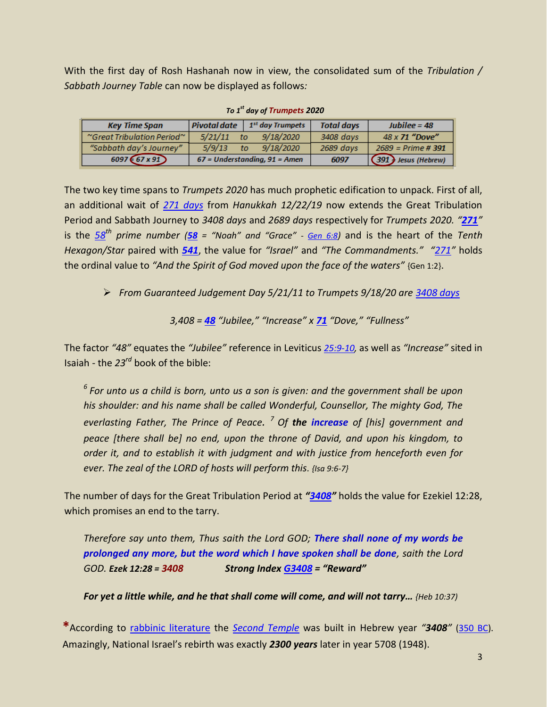With the first day of Rosh Hashanah now in view, the consolidated sum of the *Tribulation / Sabbath Journey Table* can now be displayed as follows*:*

| <b>Key Time Span</b>                         | Pivotal date                      | 1 <sup>st</sup> day Trumpets | <b>Total days</b> | $Jubilee = 48$         |
|----------------------------------------------|-----------------------------------|------------------------------|-------------------|------------------------|
| $\degree$ Great Tribulation Period $\degree$ | 5/21/11                           | 9/18/2020<br>to              | 3408 days         | 48 x 71 "Dove"         |
| "Sabbath day's Journey"                      | 5/9/13                            | 9/18/2020<br>to              | 2689 days         | $2689$ = Prime # 391   |
| $6097 (67 \times 91)$                        | $67$ = Understanding, $91$ = Amen |                              | 6097              | $(391)$ Jesus (Hebrew) |

*To 1 st day of Trumpets 2020*

The two key time spans to *Trumpets 2020* has much prophetic edification to unpack. First of all, an additional wait of *[271 days](https://www.timeanddate.com/date/durationresult.html?m1=12&d1=22&y1=2019&m2=9&d2=18&y2=2020)* from *Hanukkah 12/22/19* now extends the Great Tribulation Period and Sabbath Journey to *3408 days* and *2689 days* respectively for *Trumpets 2020. "[271](https://www.biblewheel.com/GR/GR_271.php)"* is the *[58](https://www.numberempire.com/271)th prime number ([58](https://www.biblewheel.com/GR/GR_58.php) = "Noah" and "Grace" - [Gen 6:8](https://www.blueletterbible.org/tools/MultiVerse.cfm?s=005Bnv))* and is the heart of the *Tenth Hexagon/Star* paired with *[541](https://www.biblewheel.com/GR/GR_541.php)*, the value for *"Israel"* and *"The Commandments." "[271](https://www.biblewheel.com/GR/GR_271.php)"* holds the ordinal value to *"And the Spirit of God moved upon the face of the waters"* {Gen 1:2}.

*From Guaranteed Judgement Day 5/21/11 to Trumpets 9/18/20 are [3408 days](https://www.timeanddate.com/date/durationresult.html?m1=05&d1=21&y1=2011&m2=9&d2=18&y2=2020)*

$$
3,408 = 48
$$
 "Jubilee," "Increase" x 71 "Dove," "Fullness"

The factor *"48"* equates the *"Jubilee"* reference in Leviticus *[25:9-10,](https://www.blueletterbible.org/tools/MultiVerse.cfm?s=008HqO)* as well as *"Increase"* sited in Isaiah - the *23rd* book of the bible:

*<sup>6</sup>For unto us a child is born, unto us a son is given: and the government shall be upon his shoulder: and his name shall be called Wonderful, Counsellor, The mighty God, The everlasting Father, The Prince of Peace. <sup>7</sup>Of the increase of [his] government and peace [there shall be] no end, upon the throne of David, and upon his kingdom, to order it, and to establish it with judgment and with justice from henceforth even for ever. The zeal of the LORD of hosts will perform this. {Isa 9:6-7}*

The number of days for the Great Tribulation Period at *"[3408](https://www.biblewheel.com/GR/GR_Database.php?bnum=26&cnum=12&vnum=28)"* holds the value for Ezekiel 12:28, which promises an end to the tarry.

*Therefore say unto them, Thus saith the Lord GOD; There shall none of my words be prolonged any more, but the word which I have spoken shall be done, saith the Lord GOD. Ezek 12:28 = 3408 Strong Index [G3408](https://www.blueletterbible.org/lang/lexicon/lexicon.cfm?Strongs=G3408&t=KJV) = "Reward"*

*For yet a little while, and he that shall come will come, and will not tarry… {Heb 10:37)*

**\***According to [rabbinic literature](https://en.wikipedia.org/wiki/Rabbinic_literature) the *[Second Temple](https://en.wikipedia.org/wiki/Second_Temple)* was built in Hebrew year *"3408"* [\(350 BC\)](https://en.wikipedia.org/wiki/350s_BC). Amazingly, National Israel's rebirth was exactly *2300 years* later in year 5708 (1948).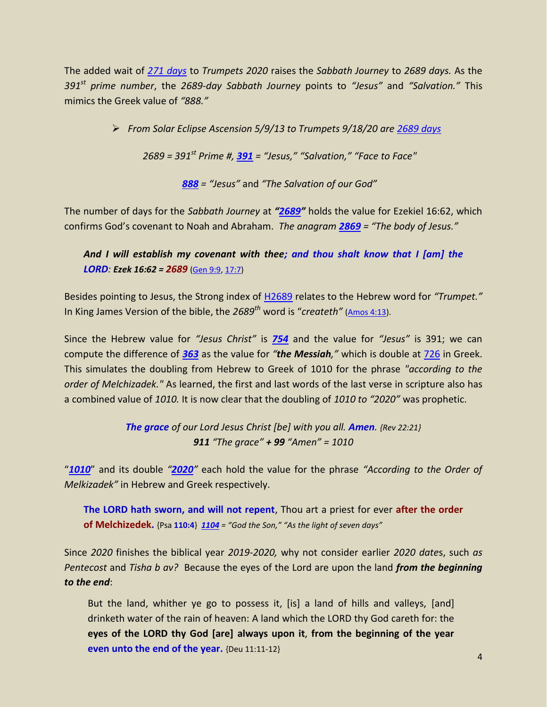The added wait of *271 [days](https://www.timeanddate.com/date/durationresult.html?m1=12&d1=22&y1=2019&m2=09&d2=18&y2=2020)* to *Trumpets 2020* raises the *Sabbath Journey* to *2689 days.* As the *391st prime number*, the *2689-day Sabbath Journey* points to *"Jesus"* and *"Salvation."* This mimics the Greek value of *"888."*

*From Solar Eclipse Ascension 5/9/13 to Trumpets 9/18/20 are [2689 days](https://www.timeanddate.com/date/durationresult.html?m1=5&d1=09&y1=2013&m2=9&d2=18&y2=2020)*

*2689 = 391st Prime #, [391](https://www.biblewheel.com/GR/GR_391.php) = "Jesus," "Salvation," "Face to Face"*

*[888](https://www.biblewheel.com/GR/GR_888.php) = "Jesus"* and *"The Salvation of our God"*

The number of days for the *Sabbath Journey* at *"[2689](https://www.biblewheel.com/GR/GR_Database.php?bnum=26&cnum=12&vnum=28)"* holds the value for Ezekiel 16:62, which confirms God's covenant to Noah and Abraham. *The anagram [2869](https://www.biblewheel.com/GR/GR_2869.php) = "The body of Jesus."*

*And I will establish my covenant with thee; and thou shalt know that I [am] the LORD: Ezek 16:62 = 2689* [\(Gen 9:9,](https://www.blueletterbible.org/tools/MultiVerse.cfm?s=008IfO) [17:7\)](https://www.blueletterbible.org/tools/MultiVerse.cfm?s=005VrN)

Besides pointing to Jesus, the Strong index of [H2689](https://www.blueletterbible.org/lang/lexicon/lexicon.cfm?Strongs=H2689&t=KJV) relates to the Hebrew word for *"Trumpet."* In King James Version of the bible, the *2689th* word is "*createth"* [\(Amos 4:13\)](https://www.blueletterbible.org/search/search.cfm?Criteria=createth&t=KJV#s=s_primary_0_1).

Since the Hebrew value for *"Jesus Christ"* is *[754](https://www.biblewheel.com/GR/GR_754.php)* and the value for *"Jesus"* is 391; we can compute the difference of *[363](https://www.biblewheel.com/GR/GR_363.php)* as the value for *"the Messiah,"* which is double at [726](https://www.biblewheel.com/GR/GR_726.php) in Greek. This simulates the doubling from Hebrew to Greek of 1010 for the phrase *"according to the order of Melchizadek."* As learned, the first and last words of the last verse in scripture also has a combined value of *1010.* It is now clear that the doubling of *1010 to "2020"* was prophetic.

> *The grace of our Lord Jesus Christ [be] with you all. Amen. {Rev 22:21} 911 "The grace" + 99 "Amen" = 1010*

"*[1010](https://www.biblewheel.com/GR/GR_1010.php)*" and its double *"[2020](https://www.biblewheel.com/GR/GR_2020.php)"* each hold the value for the phrase *"According to the Order of Melkizadek"* in Hebrew and Greek respectively.

**The LORD hath sworn, and will not repent**, Thou art a priest for ever **after the order of Melchizedek.** {Psa **110:4**} *[1104](https://www.biblewheel.com/GR/GR_1104.php) = "God the Son," "As the light of seven days"*

Since *2020* finishes the biblical year *2019-2020,* why not consider earlier *2020 date*s, such *as Pentecost* and *Tisha b av?* Because the eyes of the Lord are upon the land *from the beginning to the end*:

But the land, whither ye go to possess it, [is] a land of hills and valleys, [and] drinketh water of the rain of heaven: A land which the LORD thy God careth for: the **eyes of the LORD thy God [are] always upon it**, **from the beginning of the year even unto the end of the year.** {Deu 11:11-12}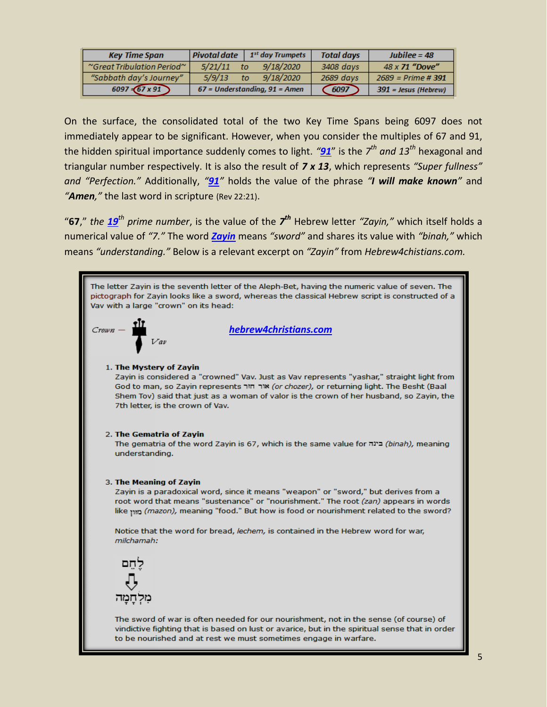| <b>Key Time Span</b>       | Pivotal date                    | 1 <sup>st</sup> day Trumpets | <b>Total days</b> | $Jubilee = 48$         |
|----------------------------|---------------------------------|------------------------------|-------------------|------------------------|
| "Great Tribulation Period" | 5/21/11                         | 9/18/2020<br>to              | 3408 days         | 48 x 71 "Dove"         |
| "Sabbath day's Journey"    | 5/9/13                          | 9/18/2020<br>to              | 2689 days         | $2689$ = Prime #391    |
| $6097 - 67 \times 91$      | $67$ = Understanding, 91 = Amen |                              | 6097              | $391$ = Jesus (Hebrew) |

On the surface, the consolidated total of the two Key Time Spans being 6097 does not immediately appear to be significant. However, when you consider the multiples of 67 and 91, the hidden spiritual importance suddenly comes to light. *"[91](https://www.numberempire.com/91)*" is the *7 th and 13th* hexagonal and triangular number respectively. It is also the result of *7 x 13*, which represents *"Super fullness" and "Perfection."* Additionally, *"[91](https://www.numberempire.com/91)"* holds the value of the phrase *"I will make known"* and *"Amen,"* the last word in scripture (Rev 22:21).

"**67**," *the [19](https://www.biblewheel.com/GR/GR_19.php)th prime number*, is the value of the *7 th* Hebrew letter *"Zayin,"* which itself holds a numerical value of *"7."* The word *[Zayin](https://en.wikipedia.org/wiki/Zayin)* means *"sword"* and shares its value with *"binah,"* which means *"understanding."* Below is a relevant excerpt on *"Zayin"* from *Hebrew4chistians.com.*

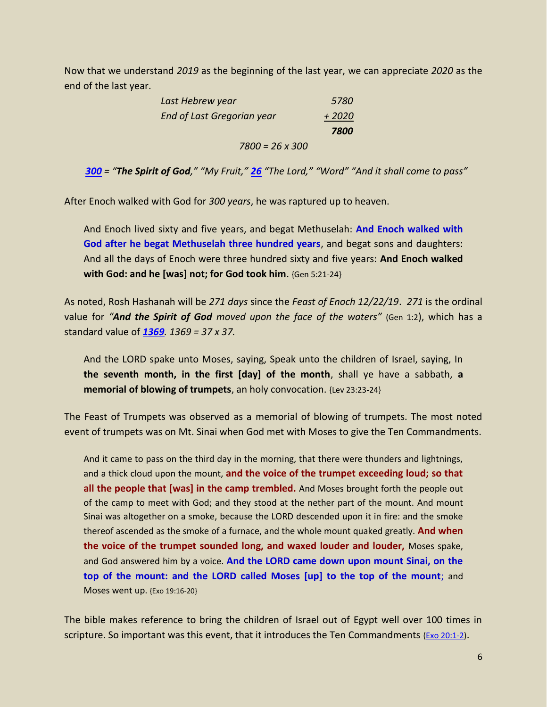Now that we understand *2019* as the beginning of the last year, we can appreciate *2020* as the end of the last year.

| Last Hebrew year           | 5780               |
|----------------------------|--------------------|
| End of Last Gregorian year | $+2020$            |
|                            | <i><b>7800</b></i> |
| $7800 = 26 \times 300$     |                    |

*[300](https://www.biblewheel.com/GR/GR_300.php) = "The Spirit of God," "My Fruit," [26](https://www.biblewheel.com/GR/GR_26.php) "The Lord," "Word" "And it shall come to pass"*

After Enoch walked with God for *300 years*, he was raptured up to heaven.

And Enoch lived sixty and five years, and begat Methuselah: **And Enoch walked with God after he begat Methuselah three hundred years**, and begat sons and daughters: And all the days of Enoch were three hundred sixty and five years: **And Enoch walked with God: and he [was] not; for God took him**. {Gen 5:21-24}

As noted, Rosh Hashanah will be *271 days* since the *Feast of Enoch 12/22/19*. *271* is the ordinal value for *"And the Spirit of God moved upon the face of the waters"* (Gen 1:2), which has a standard value of *[1369](https://www.biblewheel.com/GR/GR_1369.php). 1369 = 37 x 37.*

And the LORD spake unto Moses, saying, Speak unto the children of Israel, saying, In **the seventh month, in the first [day] of the month**, shall ye have a sabbath, **a memorial of blowing of trumpets**, an holy convocation. {Lev 23:23-24}

The Feast of Trumpets was observed as a memorial of blowing of trumpets. The most noted event of trumpets was on Mt. Sinai when God met with Moses to give the Ten Commandments.

And it came to pass on the third day in the morning, that there were thunders and lightnings, and a thick cloud upon the mount, **and the voice of the trumpet exceeding loud; so that all the people that [was] in the camp trembled.** And Moses brought forth the people out of the camp to meet with God; and they stood at the nether part of the mount. And mount Sinai was altogether on a smoke, because the LORD descended upon it in fire: and the smoke thereof ascended as the smoke of a furnace, and the whole mount quaked greatly. **And when the voice of the trumpet sounded long, and waxed louder and louder,** Moses spake, and God answered him by a voice. **And the LORD came down upon mount Sinai, on the top of the mount: and the LORD called Moses [up] to the top of the mount**; and Moses went up. {Exo 19:16-20}

The bible makes reference to bring the children of Israel out of Egypt well over 100 times in scripture. So important was this event, that it introduces the Ten Commandments (Exo [20:1-2\)](https://www.blueletterbible.org/tools/MultiVerse.cfm?s=008Ifv).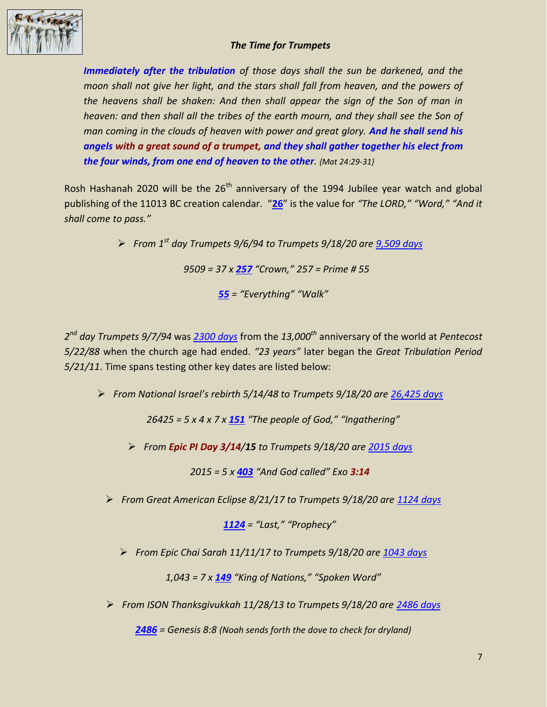

## *The Time for Trumpets*

*Immediately after the tribulation of those days shall the sun be darkened, and the moon shall not give her light, and the stars shall fall from heaven, and the powers of the heavens shall be shaken: And then shall appear the sign of the Son of man in heaven: and then shall all the tribes of the earth mourn, and they shall see the Son of man coming in the clouds of heaven with power and great glory. And he shall send his angels with a great sound of a trumpet, and they shall gather together his elect from the four winds, from one end of heaven to the other. {Mat 24:29-31}*

Rosh Hashanah 2020 will be the  $26<sup>th</sup>$  anniversary of the 1994 Jubilee year watch and global publishing of the 11013 BC creation calendar. "**[26](https://www.biblewheel.com/GR/GR_26.php)**" is the value for *"The LORD," "Word," "And it shall come to pass."* 

> *From 1 st day Trumpets 9/6/94 to Trumpets 9/18/20 are [9,509 days](https://www.timeanddate.com/date/durationresult.html?m1=09&d1=06&y1=1994&m2=9&d2=18&y2=2020) 9509 = 37 x [257](https://www.biblewheel.com/GR/GR_Database.php?Gem_Number=257&SearchByNum=Go) "Crown," 257 = Prime # 55 [55](https://www.biblewheel.com/GR/GR_55.php) = "Everything" "Walk"*

*2 nd day Trumpets 9/7/94* was *[2300 days](https://www.timeanddate.com/date/durationresult.html?m1=5&d1=22&y1=1988&m2=9&d2=07&y2=1994&ti=on)* from the *13,000th* anniversary of the world at *Pentecost 5/22/88* when the church age had ended. *"23 years"* later began the *Great Tribulation Period 5/21/11*. Time spans testing other key dates are listed below:

*From National Israel's rebirth 5/14/48 to Trumpets 9/18/20 are [26,425 days](https://www.timeanddate.com/date/durationresult.html?m1=05&d1=14&y1=1948&m2=09&d2=18&y2=2020)*

*26425 = 5 x 4 x 7 x [151](https://www.biblewheel.com/GR/GR_151.php) "The people of God," "Ingathering"*

*From Epic PI Day 3/14/15 to Trumpets 9/18/20 are [2015 days](https://www.timeanddate.com/date/durationresult.html?m1=03&d1=14&y1=2015&m2=9&d2=18&y2=2020)*

*2015 = 5 x [403](https://www.biblewheel.com/GR/GR_403.php) "And God called" Exo 3:14*

*From Great American Eclipse 8/21/17 to Trumpets 9/18/20 are [1124 days](https://www.timeanddate.com/date/durationresult.html?m1=08&d1=21&y1=2017&m2=9&d2=18&y2=2020)*

*[1124](https://www.biblewheel.com/GR/GR_Database.php?Gem_Number=1124&SearchByNum=Go) = "Last," "Prophecy"*

*From Epic Chai Sarah 11/11/17 to Trumpets 9/18/20 are [1043 days](https://www.timeanddate.com/date/durationresult.html?m1=11&d1=11&y1=2017&m2=9&d2=18&y2=2020&ti=on)*

*1,043 = 7 x [149](https://www.biblewheel.com/GR/GR_149.php) "King of Nations," "Spoken Word"*

*From ISON Thanksgivukkah 11/28/13 to Trumpets 9/18/20 are [2486 days](https://www.timeanddate.com/date/durationresult.html?m1=11&d1=28&y1=2013&m2=9&d2=18&y2=2020)*

*[2486](https://www.biblewheel.com/GR/GR_Database.php?bnum=1&cnum=8&vnum=8) = Genesis 8:8 (Noah sends forth the dove to check for dryland)*